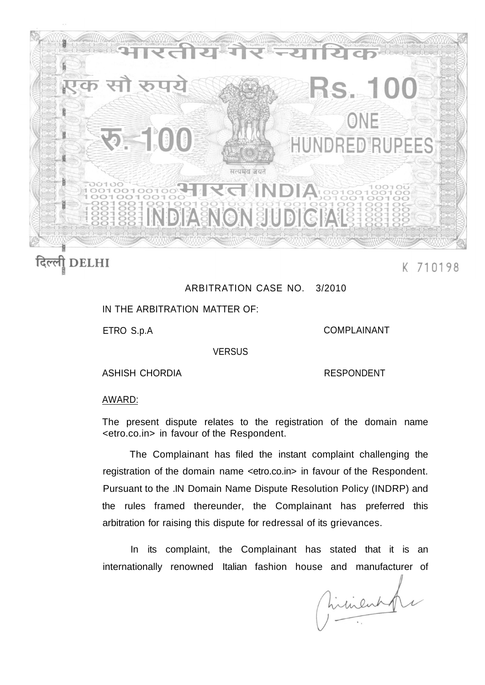

## दिल्ली DELHI

## K 710198

## ARBITRATION CASE NO. 3/2010

IN THE ARBITRATION MATTER OF:

ETRO S.p.A

COMPLAINANT

**VERSUS** 

ASHISH CHORDIA

RESPONDENT

## AWARD:

The present dispute relates to the registration of the domain name <etro.co.in> in favour of the Respondent.

The Complainant has filed the instant complaint challenging the registration of the domain name <etro.co.in> in favour of the Respondent. Pursuant to the .IN Domain Name Dispute Resolution Policy (INDRP) and the rules framed thereunder, the Complainant has preferred this arbitration for raising this dispute for redressal of its grievances.

In its complaint, the Complainant has stated that it is an internationally renowned Italian fashion house and manufacturer of

hirinent f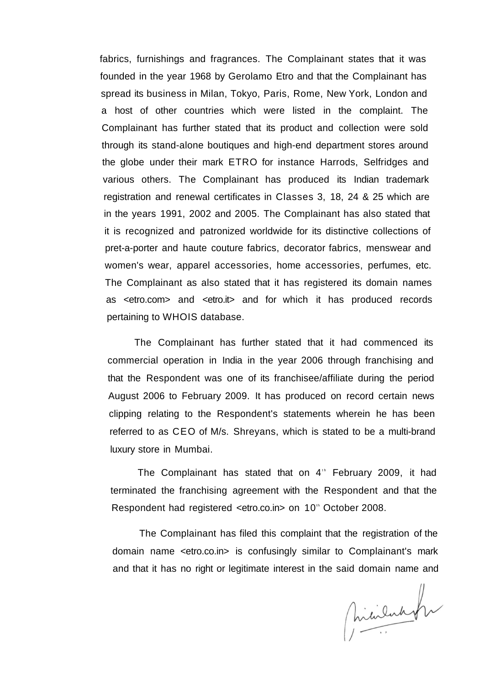fabrics, furnishings and fragrances. The Complainant states that it was founded in the year 1968 by Gerolamo Etro and that the Complainant has spread its business in Milan, Tokyo, Paris, Rome, New York, London and a host of other countries which were listed in the complaint. The Complainant has further stated that its product and collection were sold through its stand-alone boutiques and high-end department stores around the globe under their mark ETRO for instance Harrods, Selfridges and various others. The Complainant has produced its Indian trademark registration and renewal certificates in Classes 3, 18, 24 & 25 which are in the years 1991, 2002 and 2005. The Complainant has also stated that it is recognized and patronized worldwide for its distinctive collections of pret-a-porter and haute couture fabrics, decorator fabrics, menswear and women's wear, apparel accessories, home accessories, perfumes, etc. The Complainant as also stated that it has registered its domain names as <etro.com> and <etro.it> and for which it has produced records pertaining to WHOIS database.

The Complainant has further stated that it had commenced its commercial operation in India in the year 2006 through franchising and that the Respondent was one of its franchisee/affiliate during the period August 2006 to February 2009. It has produced on record certain news clipping relating to the Respondent's statements wherein he has been referred to as CEO of M/s. Shreyans, which is stated to be a multi-brand luxury store in Mumbai.

The Complainant has stated that on  $4<sup>th</sup>$  February 2009, it had terminated the franchising agreement with the Respondent and that the Respondent had registered < etro.co.in > on 10<sup>th</sup> October 2008.

The Complainant has filed this complaint that the registration of the domain name <etro.co.in> is confusingly similar to Complainant's mark and that it has no right or legitimate interest in the said domain name and

hicilando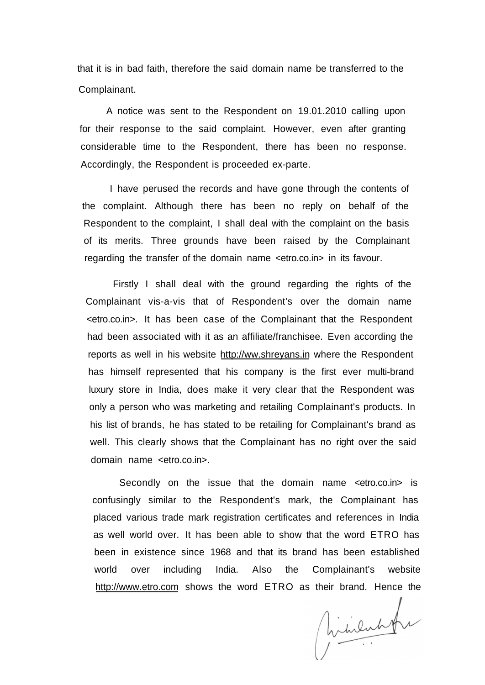that it is in bad faith, therefore the said domain name be transferred to the Complainant.

A notice was sent to the Respondent on 19.01.2010 calling upon for their response to the said complaint. However, even after granting considerable time to the Respondent, there has been no response. Accordingly, the Respondent is proceeded ex-parte.

I have perused the records and have gone through the contents of the complaint. Although there has been no reply on behalf of the Respondent to the complaint, I shall deal with the complaint on the basis of its merits. Three grounds have been raised by the Complainant regarding the transfer of the domain name <etro.co.in> in its favour.

Firstly I shall deal with the ground regarding the rights of the Complainant vis-a-vis that of Respondent's over the domain name <etro.co.in>. It has been case of the Complainant that the Respondent had been associated with it as an affiliate/franchisee. Even according the reports as well in his website [http://ww.shreyans.in w](http://ww.shreyans.in)here the Respondent has himself represented that his company is the first ever multi-brand luxury store in India, does make it very clear that the Respondent was only a person who was marketing and retailing Complainant's products. In his list of brands, he has stated to be retailing for Complainant's brand as well. This clearly shows that the Complainant has no right over the said domain name <etro.co.in>.

Secondly on the issue that the domain name <etro.co.in> is confusingly similar to the Respondent's mark, the Complainant has placed various trade mark registration certificates and references in India as well world over. It has been able to show that the word ETRO has been in existence since 1968 and that its brand has been established world over including India. Also the Complainant's website [http://www.etro.com s](http://www.etro.com)hows the word ETRO as their brand. Hence the

hilulation